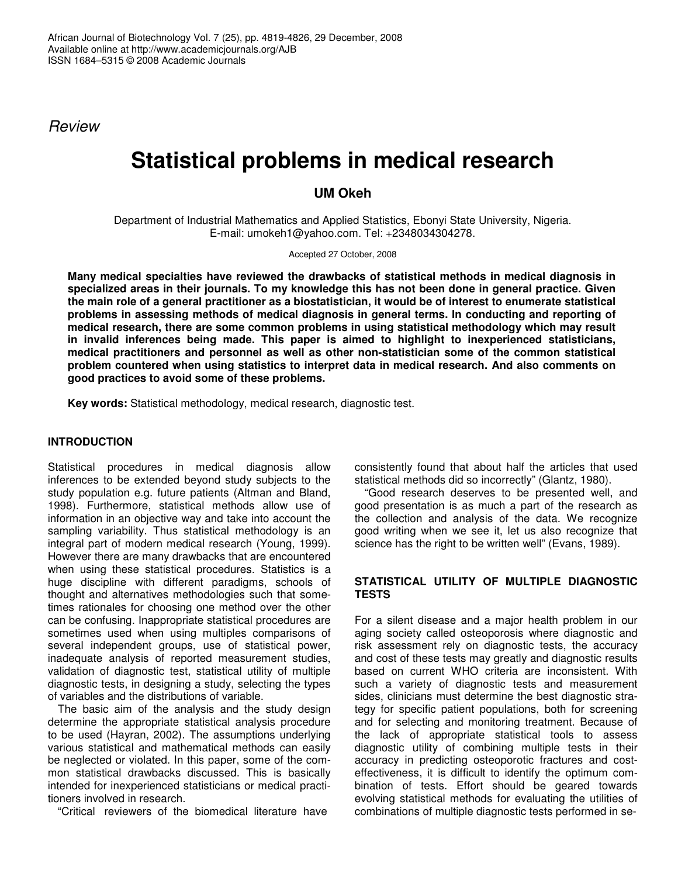*Review*

# **Statistical problems in medical research**

## **UM Okeh**

Department of Industrial Mathematics and Applied Statistics, Ebonyi State University, Nigeria. E-mail: umokeh1@yahoo.com. Tel: +2348034304278.

Accepted 27 October, 2008

**Many medical specialties have reviewed the drawbacks of statistical methods in medical diagnosis in specialized areas in their journals. To my knowledge this has not been done in general practice. Given** the main role of a general practitioner as a biostatistician, it would be of interest to enumerate statistical **problems in assessing methods of medical diagnosis in general terms. In conducting and reporting of medical research, there are some common problems in using statistical methodology which may result in invalid inferences being made. This paper is aimed to highlight to inexperienced statisticians, medical practitioners and personnel as well as other non-statistician some of the common statistical problem countered when using statistics to interpret data in medical research. And also comments on good practices to avoid some of these problems.**

**Key words:** Statistical methodology, medical research, diagnostic test.

## **INTRODUCTION**

Statistical procedures in medical diagnosis allow inferences to be extended beyond study subjects to the study population e.g. future patients (Altman and Bland, 1998). Furthermore, statistical methods allow use of information in an objective way and take into account the sampling variability. Thus statistical methodology is an integral part of modern medical research (Young, 1999). However there are many drawbacks that are encountered when using these statistical procedures. Statistics is a huge discipline with different paradigms, schools of thought and alternatives methodologies such that sometimes rationales for choosing one method over the other can be confusing. Inappropriate statistical procedures are sometimes used when using multiples comparisons of several independent groups, use of statistical power, inadequate analysis of reported measurement studies, validation of diagnostic test, statistical utility of multiple diagnostic tests, in designing a study, selecting the types of variables and the distributions of variable.

The basic aim of the analysis and the study design determine the appropriate statistical analysis procedure to be used (Hayran, 2002). The assumptions underlying various statistical and mathematical methods can easily be neglected or violated. In this paper, some of the common statistical drawbacks discussed. This is basically intended for inexperienced statisticians or medical practitioners involved in research.

"Critical reviewers of the biomedical literature have

consistently found that about half the articles that used statistical methods did so incorrectly" (Glantz, 1980).

"Good research deserves to be presented well, and good presentation is as much a part of the research as the collection and analysis of the data. We recognize good writing when we see it, let us also recognize that science has the right to be written well" (Evans, 1989).

## **STATISTICAL UTILITY OF MULTIPLE DIAGNOSTIC TESTS**

For a silent disease and a major health problem in our aging society called osteoporosis where diagnostic and risk assessment rely on diagnostic tests, the accuracy and cost of these tests may greatly and diagnostic results based on current WHO criteria are inconsistent. With such a variety of diagnostic tests and measurement sides, clinicians must determine the best diagnostic strategy for specific patient populations, both for screening and for selecting and monitoring treatment. Because of the lack of appropriate statistical tools to assess diagnostic utility of combining multiple tests in their accuracy in predicting osteoporotic fractures and costeffectiveness, it is difficult to identify the optimum combination of tests. Effort should be geared towards evolving statistical methods for evaluating the utilities of combinations of multiple diagnostic tests performed in se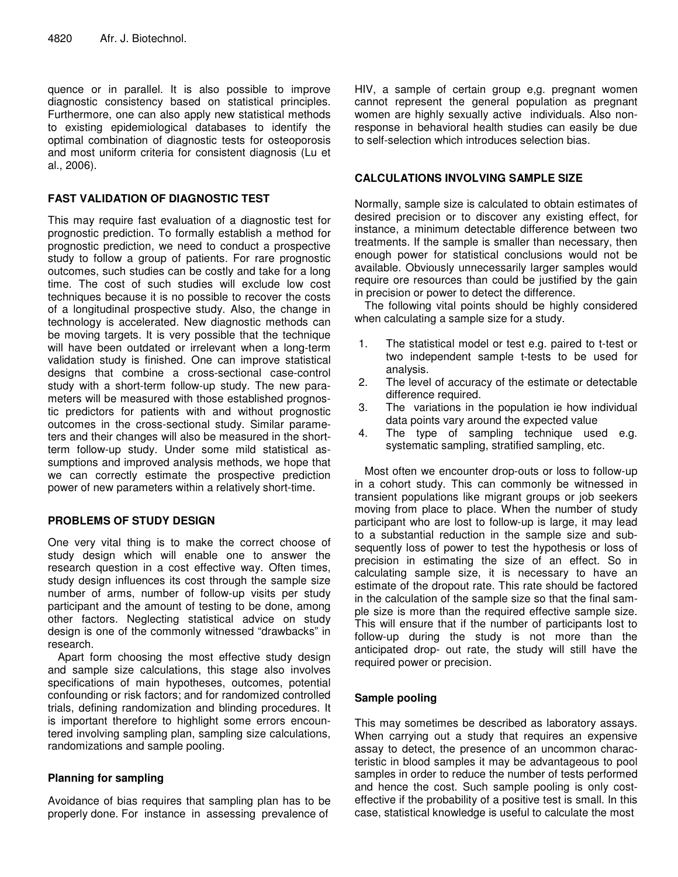quence or in parallel. It is also possible to improve diagnostic consistency based on statistical principles. Furthermore, one can also apply new statistical methods to existing epidemiological databases to identify the optimal combination of diagnostic tests for osteoporosis and most uniform criteria for consistent diagnosis (Lu et al., 2006).

## **FAST VALIDATION OF DIAGNOSTIC TEST**

This may require fast evaluation of a diagnostic test for prognostic prediction. To formally establish a method for prognostic prediction, we need to conduct a prospective study to follow a group of patients. For rare prognostic outcomes, such studies can be costly and take for a long time. The cost of such studies will exclude low cost techniques because it is no possible to recover the costs of a longitudinal prospective study. Also, the change in technology is accelerated. New diagnostic methods can be moving targets. It is very possible that the technique will have been outdated or irrelevant when a long-term validation study is finished. One can improve statistical designs that combine a cross-sectional case-control study with a short-term follow-up study. The new parameters will be measured with those established prognostic predictors for patients with and without prognostic outcomes in the cross-sectional study. Similar parameters and their changes will also be measured in the shortterm follow-up study. Under some mild statistical assumptions and improved analysis methods, we hope that we can correctly estimate the prospective prediction power of new parameters within a relatively short-time.

## **PROBLEMS OF STUDY DESIGN**

One very vital thing is to make the correct choose of study design which will enable one to answer the research question in a cost effective way. Often times, study design influences its cost through the sample size number of arms, number of follow-up visits per study participant and the amount of testing to be done, among other factors. Neglecting statistical advice on study design is one of the commonly witnessed "drawbacks" in research.

Apart form choosing the most effective study design and sample size calculations, this stage also involves specifications of main hypotheses, outcomes, potential confounding or risk factors; and for randomized controlled trials, defining randomization and blinding procedures. It is important therefore to highlight some errors encountered involving sampling plan, sampling size calculations, randomizations and sample pooling.

## **Planning for sampling**

Avoidance of bias requires that sampling plan has to be properly done. For instance in assessing prevalence of

HIV, a sample of certain group e,g. pregnant women cannot represent the general population as pregnant women are highly sexually active individuals. Also nonresponse in behavioral health studies can easily be due to self-selection which introduces selection bias.

## **CALCULATIONS INVOLVING SAMPLE SIZE**

Normally, sample size is calculated to obtain estimates of desired precision or to discover any existing effect, for instance, a minimum detectable difference between two treatments. If the sample is smaller than necessary, then enough power for statistical conclusions would not be available. Obviously unnecessarily larger samples would require ore resources than could be justified by the gain in precision or power to detect the difference.

The following vital points should be highly considered when calculating a sample size for a study.

- 1. The statistical model or test e.g. paired to t-test or two independent sample t-tests to be used for analysis.
- 2. The level of accuracy of the estimate or detectable difference required.
- 3. The variations in the population ie how individual data points vary around the expected value
- 4. The type of sampling technique used e.g. systematic sampling, stratified sampling, etc.

Most often we encounter drop-outs or loss to follow-up in a cohort study. This can commonly be witnessed in transient populations like migrant groups or job seekers moving from place to place. When the number of study participant who are lost to follow-up is large, it may lead to a substantial reduction in the sample size and subsequently loss of power to test the hypothesis or loss of precision in estimating the size of an effect. So in calculating sample size, it is necessary to have an estimate of the dropout rate. This rate should be factored in the calculation of the sample size so that the final sample size is more than the required effective sample size. This will ensure that if the number of participants lost to follow-up during the study is not more than the anticipated drop- out rate, the study will still have the required power or precision.

## **Sample pooling**

This may sometimes be described as laboratory assays. When carrying out a study that requires an expensive assay to detect, the presence of an uncommon characteristic in blood samples it may be advantageous to pool samples in order to reduce the number of tests performed and hence the cost. Such sample pooling is only costeffective if the probability of a positive test is small. In this case, statistical knowledge is useful to calculate the most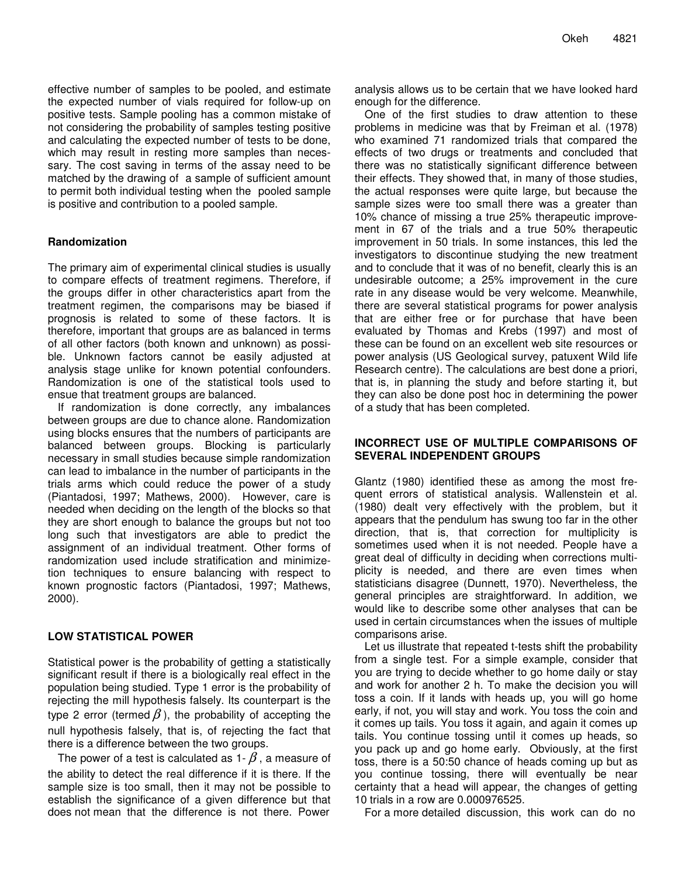effective number of samples to be pooled, and estimate the expected number of vials required for follow-up on positive tests. Sample pooling has a common mistake of not considering the probability of samples testing positive and calculating the expected number of tests to be done, which may result in resting more samples than necessary. The cost saving in terms of the assay need to be matched by the drawing of a sample of sufficient amount to permit both individual testing when the pooled sample is positive and contribution to a pooled sample.

## **Randomization**

The primary aim of experimental clinical studies is usually to compare effects of treatment regimens. Therefore, if the groups differ in other characteristics apart from the treatment regimen, the comparisons may be biased if prognosis is related to some of these factors. It is therefore, important that groups are as balanced in terms of all other factors (both known and unknown) as possible. Unknown factors cannot be easily adjusted at analysis stage unlike for known potential confounders. Randomization is one of the statistical tools used to ensue that treatment groups are balanced.

If randomization is done correctly, any imbalances between groups are due to chance alone. Randomization using blocks ensures that the numbers of participants are balanced between groups. Blocking is particularly necessary in small studies because simple randomization can lead to imbalance in the number of participants in the trials arms which could reduce the power of a study (Piantadosi, 1997; Mathews, 2000). However, care is needed when deciding on the length of the blocks so that they are short enough to balance the groups but not too long such that investigators are able to predict the assignment of an individual treatment. Other forms of randomization used include stratification and minimizetion techniques to ensure balancing with respect to known prognostic factors (Piantadosi, 1997; Mathews, 2000).

## **LOW STATISTICAL POWER**

Statistical power is the probability of getting a statistically significant result if there is a biologically real effect in the population being studied. Type 1 error is the probability of rejecting the mill hypothesis falsely. Its counterpart is the type 2 error (termed  $\beta$ ), the probability of accepting the null hypothesis falsely, that is, of rejecting the fact that there is a difference between the two groups.

The power of a test is calculated as 1-  $\beta$ , a measure of the ability to detect the real difference if it is there. If the sample size is too small, then it may not be possible to establish the significance of a given difference but that does not mean that the difference is not there. Power

analysis allows us to be certain that we have looked hard enough for the difference.

One of the first studies to draw attention to these problems in medicine was that by Freiman et al. (1978) who examined 71 randomized trials that compared the effects of two drugs or treatments and concluded that there was no statistically significant difference between their effects. They showed that, in many of those studies, the actual responses were quite large, but because the sample sizes were too small there was a greater than 10% chance of missing a true 25% therapeutic improvement in 67 of the trials and a true 50% therapeutic improvement in 50 trials. In some instances, this led the investigators to discontinue studying the new treatment and to conclude that it was of no benefit, clearly this is an undesirable outcome; a 25% improvement in the cure rate in any disease would be very welcome. Meanwhile, there are several statistical programs for power analysis that are either free or for purchase that have been evaluated by Thomas and Krebs (1997) and most of these can be found on an excellent web site resources or power analysis (US Geological survey, patuxent Wild life Research centre). The calculations are best done a priori, that is, in planning the study and before starting it, but they can also be done post hoc in determining the power of a study that has been completed.

## **INCORRECT USE OF MULTIPLE COMPARISONS OF SEVERAL INDEPENDENT GROUPS**

Glantz (1980) identified these as among the most frequent errors of statistical analysis. Wallenstein et al. (1980) dealt very effectively with the problem, but it appears that the pendulum has swung too far in the other direction, that is, that correction for multiplicity is sometimes used when it is not needed. People have a great deal of difficulty in deciding when corrections multiplicity is needed, and there are even times when statisticians disagree (Dunnett, 1970). Nevertheless, the general principles are straightforward. In addition, we would like to describe some other analyses that can be used in certain circumstances when the issues of multiple comparisons arise.

Let us illustrate that repeated t-tests shift the probability from a single test. For a simple example, consider that you are trying to decide whether to go home daily or stay and work for another 2 h. To make the decision you will toss a coin. If it lands with heads up, you will go home early, if not, you will stay and work. You toss the coin and it comes up tails. You toss it again, and again it comes up tails. You continue tossing until it comes up heads, so you pack up and go home early. Obviously, at the first toss, there is a 50:50 chance of heads coming up but as you continue tossing, there will eventually be near certainty that a head will appear, the changes of getting 10 trials in a row are 0.000976525.

For a more detailed discussion, this work can do no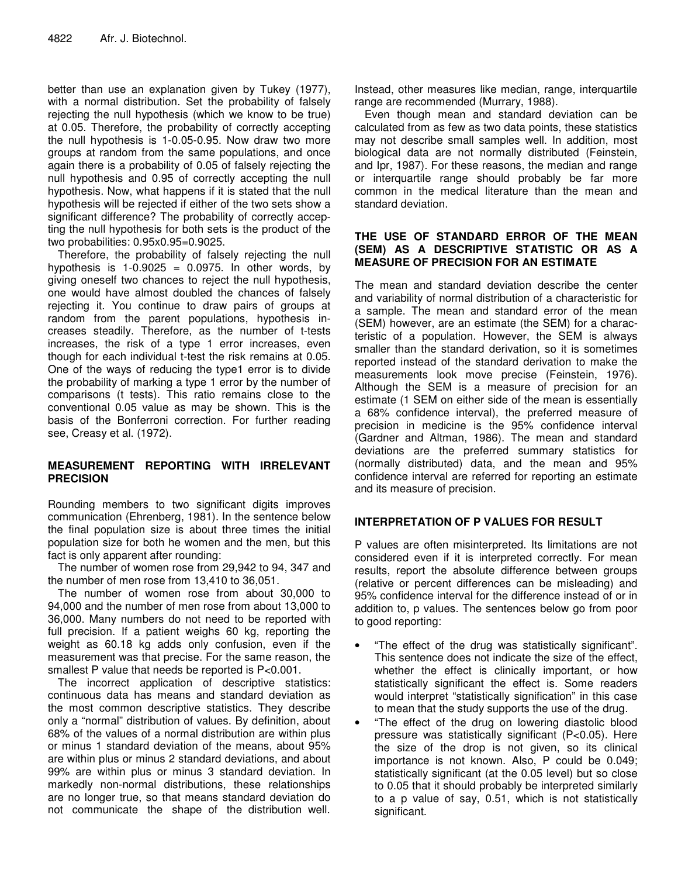better than use an explanation given by Tukey (1977), with a normal distribution. Set the probability of falsely rejecting the null hypothesis (which we know to be true) at 0.05. Therefore, the probability of correctly accepting the null hypothesis is 1-0.05-0.95. Now draw two more groups at random from the same populations, and once again there is a probability of 0.05 of falsely rejecting the null hypothesis and 0.95 of correctly accepting the null hypothesis. Now, what happens if it is stated that the null hypothesis will be rejected if either of the two sets show a significant difference? The probability of correctly accepting the null hypothesis for both sets is the product of the two probabilities: 0.95x0.95=0.9025.

Therefore, the probability of falsely rejecting the null hypothesis is  $1-0.9025 = 0.0975$ . In other words, by giving oneself two chances to reject the null hypothesis, one would have almost doubled the chances of falsely rejecting it. You continue to draw pairs of groups at random from the parent populations, hypothesis increases steadily. Therefore, as the number of t-tests increases, the risk of a type 1 error increases, even though for each individual t-test the risk remains at 0.05. One of the ways of reducing the type1 error is to divide the probability of marking a type 1 error by the number of comparisons (t tests). This ratio remains close to the conventional 0.05 value as may be shown. This is the basis of the Bonferroni correction. For further reading see, Creasy et al. (1972).

## **MEASUREMENT REPORTING WITH IRRELEVANT PRECISION**

Rounding members to two significant digits improves communication (Ehrenberg, 1981). In the sentence below the final population size is about three times the initial population size for both he women and the men, but this fact is only apparent after rounding:

The number of women rose from 29,942 to 94, 347 and the number of men rose from 13,410 to 36,051.

The number of women rose from about 30,000 to 94,000 and the number of men rose from about 13,000 to 36,000. Many numbers do not need to be reported with full precision. If a patient weighs 60 kg, reporting the weight as 60.18 kg adds only confusion, even if the measurement was that precise. For the same reason, the smallest P value that needs be reported is P<0.001.

The incorrect application of descriptive statistics: continuous data has means and standard deviation as the most common descriptive statistics. They describe only a "normal" distribution of values. By definition, about 68% of the values of a normal distribution are within plus or minus 1 standard deviation of the means, about 95% are within plus or minus 2 standard deviations, and about 99% are within plus or minus 3 standard deviation. In markedly non-normal distributions, these relationships are no longer true, so that means standard deviation do not communicate the shape of the distribution well.

Instead, other measures like median, range, interquartile range are recommended (Murrary, 1988).

Even though mean and standard deviation can be calculated from as few as two data points, these statistics may not describe small samples well. In addition, most biological data are not normally distributed (Feinstein, and Ipr, 1987). For these reasons, the median and range or interquartile range should probably be far more common in the medical literature than the mean and standard deviation.

## **THE USE OF STANDARD ERROR OF THE MEAN (SEM) AS A DESCRIPTIVE STATISTIC OR AS A MEASURE OF PRECISION FOR AN ESTIMATE**

The mean and standard deviation describe the center and variability of normal distribution of a characteristic for a sample. The mean and standard error of the mean (SEM) however, are an estimate (the SEM) for a characteristic of a population. However, the SEM is always smaller than the standard derivation, so it is sometimes reported instead of the standard derivation to make the measurements look move precise (Feinstein, 1976). Although the SEM is a measure of precision for an estimate (1 SEM on either side of the mean is essentially a 68% confidence interval), the preferred measure of precision in medicine is the 95% confidence interval (Gardner and Altman, 1986). The mean and standard deviations are the preferred summary statistics for (normally distributed) data, and the mean and 95% confidence interval are referred for reporting an estimate and its measure of precision.

## **INTERPRETATION OF P VALUES FOR RESULT**

P values are often misinterpreted. Its limitations are not considered even if it is interpreted correctly. For mean results, report the absolute difference between groups (relative or percent differences can be misleading) and 95% confidence interval for the difference instead of or in addition to, p values. The sentences below go from poor to good reporting:

- "The effect of the drug was statistically significant". This sentence does not indicate the size of the effect, whether the effect is clinically important, or how statistically significant the effect is. Some readers would interpret "statistically signification" in this case to mean that the study supports the use of the drug.
- "The effect of the drug on lowering diastolic blood pressure was statistically significant (P<0.05). Here the size of the drop is not given, so its clinical importance is not known. Also, P could be 0.049; statistically significant (at the 0.05 level) but so close to 0.05 that it should probably be interpreted similarly to a p value of say, 0.51, which is not statistically significant.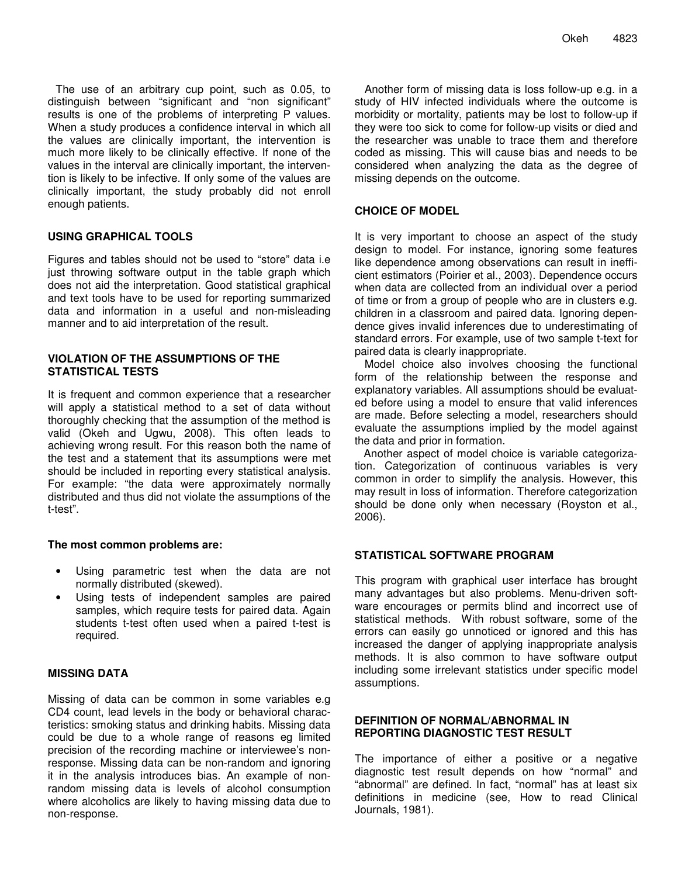The use of an arbitrary cup point, such as 0.05, to distinguish between "significant and "non significant" results is one of the problems of interpreting P values. When a study produces a confidence interval in which all the values are clinically important, the intervention is much more likely to be clinically effective. If none of the values in the interval are clinically important, the intervention is likely to be infective. If only some of the values are clinically important, the study probably did not enroll enough patients.

## **USING GRAPHICAL TOOLS**

Figures and tables should not be used to "store" data i.e just throwing software output in the table graph which does not aid the interpretation. Good statistical graphical and text tools have to be used for reporting summarized data and information in a useful and non-misleading manner and to aid interpretation of the result.

## **VIOLATION OF THE ASSUMPTIONS OF THE STATISTICAL TESTS**

It is frequent and common experience that a researcher will apply a statistical method to a set of data without thoroughly checking that the assumption of the method is valid (Okeh and Ugwu, 2008). This often leads to achieving wrong result. For this reason both the name of the test and a statement that its assumptions were met should be included in reporting every statistical analysis. For example: "the data were approximately normally distributed and thus did not violate the assumptions of the t-test".

## **The most common problems are:**

- Using parametric test when the data are not normally distributed (skewed).
- Using tests of independent samples are paired samples, which require tests for paired data. Again students t-test often used when a paired t-test is required.

## **MISSING DATA**

Missing of data can be common in some variables e.g CD4 count, lead levels in the body or behavioral characteristics: smoking status and drinking habits. Missing data could be due to a whole range of reasons eg limited precision of the recording machine or interviewee's nonresponse. Missing data can be non-random and ignoring it in the analysis introduces bias. An example of nonrandom missing data is levels of alcohol consumption where alcoholics are likely to having missing data due to non-response.

Another form of missing data is loss follow-up e.g. in a study of HIV infected individuals where the outcome is morbidity or mortality, patients may be lost to follow-up if they were too sick to come for follow-up visits or died and the researcher was unable to trace them and therefore coded as missing. This will cause bias and needs to be considered when analyzing the data as the degree of missing depends on the outcome.

## **CHOICE OF MODEL**

It is very important to choose an aspect of the study design to model. For instance, ignoring some features like dependence among observations can result in inefficient estimators (Poirier et al., 2003). Dependence occurs when data are collected from an individual over a period of time or from a group of people who are in clusters e.g. children in a classroom and paired data. Ignoring dependence gives invalid inferences due to underestimating of standard errors. For example, use of two sample t-text for paired data is clearly inappropriate.

Model choice also involves choosing the functional form of the relationship between the response and explanatory variables. All assumptions should be evaluated before using a model to ensure that valid inferences are made. Before selecting a model, researchers should evaluate the assumptions implied by the model against the data and prior in formation.

Another aspect of model choice is variable categorization. Categorization of continuous variables is very common in order to simplify the analysis. However, this may result in loss of information. Therefore categorization should be done only when necessary (Royston et al., 2006).

## **STATISTICAL SOFTWARE PROGRAM**

This program with graphical user interface has brought many advantages but also problems. Menu-driven software encourages or permits blind and incorrect use of statistical methods. With robust software, some of the errors can easily go unnoticed or ignored and this has increased the danger of applying inappropriate analysis methods. It is also common to have software output including some irrelevant statistics under specific model assumptions.

## **DEFINITION OF NORMAL/ABNORMAL IN REPORTING DIAGNOSTIC TEST RESULT**

The importance of either a positive or a negative diagnostic test result depends on how "normal" and "abnormal" are defined. In fact, "normal" has at least six definitions in medicine (see, How to read Clinical Journals, 1981).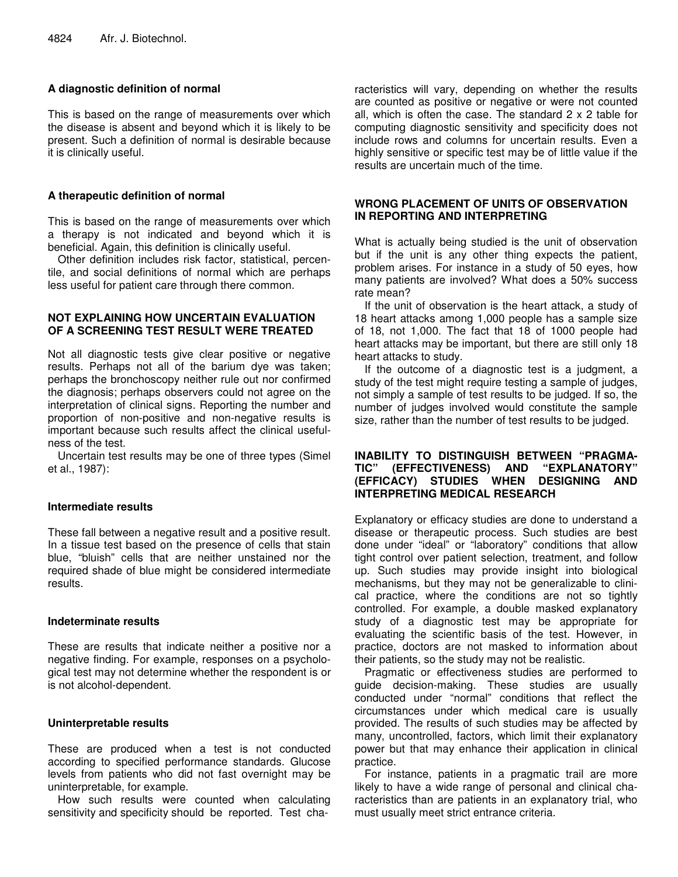## **A diagnostic definition of normal**

This is based on the range of measurements over which the disease is absent and beyond which it is likely to be present. Such a definition of normal is desirable because it is clinically useful.

## **A therapeutic definition of normal**

This is based on the range of measurements over which a therapy is not indicated and beyond which it is beneficial. Again, this definition is clinically useful.

Other definition includes risk factor, statistical, percentile, and social definitions of normal which are perhaps less useful for patient care through there common.

## **NOT EXPLAINING HOW UNCERTAIN EVALUATION OF A SCREENING TEST RESULT WERE TREATED**

Not all diagnostic tests give clear positive or negative results. Perhaps not all of the barium dye was taken; perhaps the bronchoscopy neither rule out nor confirmed the diagnosis; perhaps observers could not agree on the interpretation of clinical signs. Reporting the number and proportion of non-positive and non-negative results is important because such results affect the clinical usefulness of the test.

Uncertain test results may be one of three types (Simel et al., 1987):

## **Intermediate results**

These fall between a negative result and a positive result. In a tissue test based on the presence of cells that stain blue, "bluish" cells that are neither unstained nor the required shade of blue might be considered intermediate results.

## **Indeterminate results**

These are results that indicate neither a positive nor a negative finding. For example, responses on a psychological test may not determine whether the respondent is or is not alcohol-dependent.

## **Uninterpretable results**

These are produced when a test is not conducted according to specified performance standards. Glucose levels from patients who did not fast overnight may be uninterpretable, for example.

How such results were counted when calculating sensitivity and specificity should be reported. Test characteristics will vary, depending on whether the results are counted as positive or negative or were not counted all, which is often the case. The standard 2 x 2 table for computing diagnostic sensitivity and specificity does not include rows and columns for uncertain results. Even a highly sensitive or specific test may be of little value if the results are uncertain much of the time.

## **WRONG PLACEMENT OF UNITS OF OBSERVATION IN REPORTING AND INTERPRETING**

What is actually being studied is the unit of observation but if the unit is any other thing expects the patient, problem arises. For instance in a study of 50 eyes, how many patients are involved? What does a 50% success rate mean?

If the unit of observation is the heart attack, a study of 18 heart attacks among 1,000 people has a sample size of 18, not 1,000. The fact that 18 of 1000 people had heart attacks may be important, but there are still only 18 heart attacks to study.

If the outcome of a diagnostic test is a judgment, a study of the test might require testing a sample of judges, not simply a sample of test results to be judged. If so, the number of judges involved would constitute the sample size, rather than the number of test results to be judged.

## **INABILITY TO DISTINGUISH BETWEEN "PRAGMA-TIC" (EFFECTIVENESS) AND "EXPLANATORY" (EFFICACY) STUDIES WHEN DESIGNING AND INTERPRETING MEDICAL RESEARCH**

Explanatory or efficacy studies are done to understand a disease or therapeutic process. Such studies are best done under "ideal" or "laboratory" conditions that allow tight control over patient selection, treatment, and follow up. Such studies may provide insight into biological mechanisms, but they may not be generalizable to clinical practice, where the conditions are not so tightly controlled. For example, a double masked explanatory study of a diagnostic test may be appropriate for evaluating the scientific basis of the test. However, in practice, doctors are not masked to information about their patients, so the study may not be realistic.

Pragmatic or effectiveness studies are performed to guide decision-making. These studies are usually conducted under "normal" conditions that reflect the circumstances under which medical care is usually provided. The results of such studies may be affected by many, uncontrolled, factors, which limit their explanatory power but that may enhance their application in clinical practice.

For instance, patients in a pragmatic trail are more likely to have a wide range of personal and clinical characteristics than are patients in an explanatory trial, who must usually meet strict entrance criteria.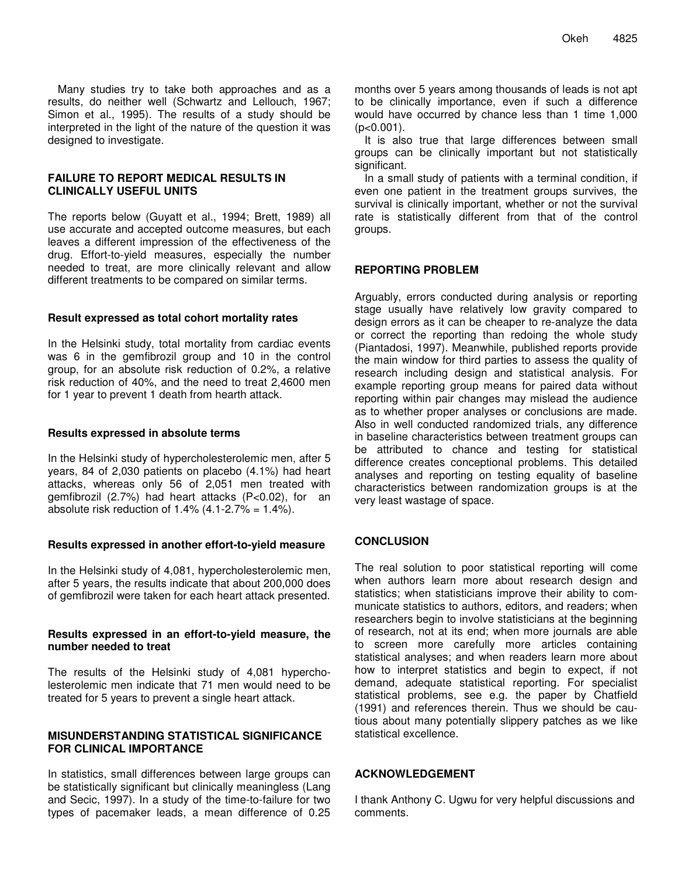Many studies try to take both approaches and as a results, do neither well (Schwartz and Lellouch, 1967; Simon et al., 1995). The results of a study should be interpreted in the light of the nature of the question it was designed to investigate.

#### **FAILURE TO REPORT MEDICAL RESULTS IN CLINICALLY USEFUL UNITS**

The reports below (Guyatt et al., 1994; Brett, 1989) all use accurate and accepted outcome measures, but each leaves a different impression of the effectiveness of the drug. Effort-to-yield measures, especially the number needed to treat, are more clinically relevant and allow different treatments to be compared on similar terms.

#### **Result expressed as total cohort mortality rates**

In the Helsinki study, total mortality from cardiac events was 6 in the gemfibrozil group and 10 in the control group, for an absolute risk reduction of 0.2%, a relative risk reduction of 40%, and the need to treat 2,4600 men for 1 year to prevent 1 death from hearth attack.

#### **Results expressed in absolute terms**

In the Helsinki study of hypercholesterolemic men, after 5 years, 84 of 2,030 patients on placebo (4.1%) had heart attacks, whereas only 56 of 2,051 men treated with gemfibrozil (2.7%) had heart attacks (P<0.02), for an absolute risk reduction of  $1.4\%$  (4.1-2.7% =  $1.4\%$ ).

## **Results expressed in another effort-to-yield measure**

In the Helsinki study of 4,081, hypercholesterolemic men, after 5 years, the results indicate that about 200,000 does of gemfibrozil were taken for each heart attack presented.

#### **Results expressed in an effort-to-yield measure, the number needed to treat**

The results of the Helsinki study of 4,081 hypercholesterolemic men indicate that 71 men would need to be treated for 5 years to prevent a single heart attack.

#### **MISUNDERSTANDING STATISTICAL SIGNIFICANCE FOR CLINICAL IMPORTANCE**

In statistics, small differences between large groups can be statistically significant but clinically meaningless (Lang and Secic, 1997). In a study of the time-to-failure for two types of pacemaker leads, a mean difference of 0.25

months over 5 years among thousands of leads is not apt to be clinically importance, even if such a difference would have occurred by chance less than 1 time 1,000  $(p<0.001)$ .

It is also true that large differences between small groups can be clinically important but not statistically significant.

In a small study of patients with a terminal condition, if even one patient in the treatment groups survives, the survival is clinically important, whether or not the survival rate is statistically different from that of the control groups.

## **REPORTING PROBLEM**

Arguably, errors conducted during analysis or reporting stage usually have relatively low gravity compared to design errors as it can be cheaper to re-analyze the data or correct the reporting than redoing the whole study (Piantadosi, 1997). Meanwhile, published reports provide the main window for third parties to assess the quality of research including design and statistical analysis. For example reporting group means for paired data without reporting within pair changes may mislead the audience as to whether proper analyses or conclusions are made. Also in well conducted randomized trials, any difference in baseline characteristics between treatment groups can be attributed to chance and testing for statistical difference creates conceptional problems. This detailed analyses and reporting on testing equality of baseline characteristics between randomization groups is at the very least wastage of space.

## **CONCLUSION**

The real solution to poor statistical reporting will come when authors learn more about research design and statistics; when statisticians improve their ability to communicate statistics to authors, editors, and readers; when researchers begin to involve statisticians at the beginning of research, not at its end; when more journals are able to screen more carefully more articles containing statistical analyses; and when readers learn more about how to interpret statistics and begin to expect, if not demand, adequate statistical reporting. For specialist statistical problems, see e.g. the paper by Chatfield (1991) and references therein. Thus we should be cautious about many potentially slippery patches as we like statistical excellence.

## **ACKNOWLEDGEMENT**

I thank Anthony C. Ugwu for very helpful discussions and comments.